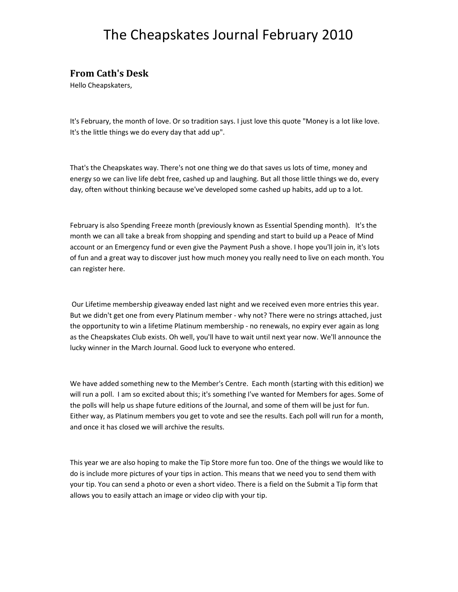### **From Cath's Desk**

Hello Cheapskaters,

It's February, the month of love. Or so tradition says. I just love this quote "Money is a lot like love. It's the little things we do every day that add up".

That's the Cheapskates way. There's not one thing we do that saves us lots of time, money and energy so we can live life debt free, cashed up and laughing. But all those little things we do, every day, often without thinking because we've developed some cashed up habits, add up to a lot.

February is also Spending Freeze month (previously known as Essential Spending month). It's the month we can all take a break from shopping and spending and start to build up a Peace of Mind account or an Emergency fund or even give the Payment Push a shove. I hope you'll join in, it's lots of fun and a great way to discover just how much money you really need to live on each month. You can register here.

 Our Lifetime membership giveaway ended last night and we received even more entries this year. But we didn't get one from every Platinum member - why not? There were no strings attached, just the opportunity to win a lifetime Platinum membership - no renewals, no expiry ever again as long as the Cheapskates Club exists. Oh well, you'll have to wait until next year now. We'll announce the lucky winner in the March Journal. Good luck to everyone who entered.

We have added something new to the Member's Centre. Each month (starting with this edition) we will run a poll. I am so excited about this; it's something I've wanted for Members for ages. Some of the polls will help us shape future editions of the Journal, and some of them will be just for fun. Either way, as Platinum members you get to vote and see the results. Each poll will run for a month, and once it has closed we will archive the results.

This year we are also hoping to make the Tip Store more fun too. One of the things we would like to do is include more pictures of your tips in action. This means that we need you to send them with your tip. You can send a photo or even a short video. There is a field on the Submit a Tip form that allows you to easily attach an image or video clip with your tip.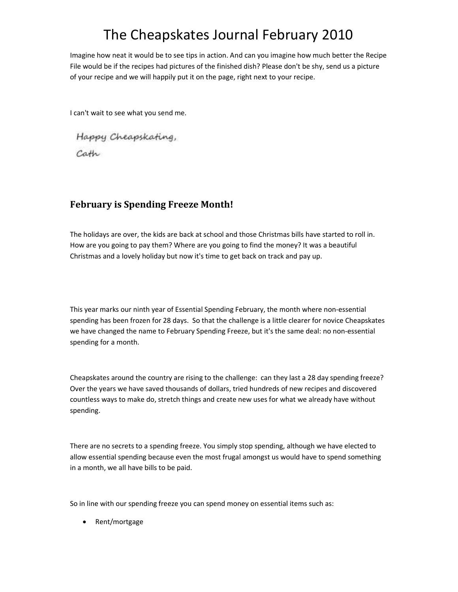Imagine how neat it would be to see tips in action. And can you imagine how much better the Recipe File would be if the recipes had pictures of the finished dish? Please don't be shy, send us a picture of your recipe and we will happily put it on the page, right next to your recipe.

I can't wait to see what you send me.

Happy Cheapskating, Cath

### **February is Spending Freeze Month!**

The holidays are over, the kids are back at school and those Christmas bills have started to roll in. How are you going to pay them? Where are you going to find the money? It was a beautiful Christmas and a lovely holiday but now it's time to get back on track and pay up.

This year marks our ninth year of Essential Spending February, the month where non-essential spending has been frozen for 28 days. So that the challenge is a little clearer for novice Cheapskates we have changed the name to February Spending Freeze, but it's the same deal: no non-essential spending for a month.

Cheapskates around the country are rising to the challenge: can they last a 28 day spending freeze? Over the years we have saved thousands of dollars, tried hundreds of new recipes and discovered countless ways to make do, stretch things and create new uses for what we already have without spending.

There are no secrets to a spending freeze. You simply stop spending, although we have elected to allow essential spending because even the most frugal amongst us would have to spend something in a month, we all have bills to be paid.

So in line with our spending freeze you can spend money on essential items such as:

• Rent/mortgage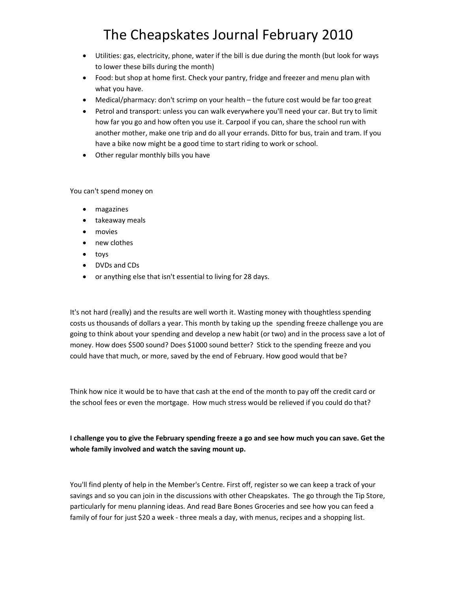- Utilities: gas, electricity, phone, water if the bill is due during the month (but look for ways to lower these bills during the month)
- Food: but shop at home first. Check your pantry, fridge and freezer and menu plan with what you have.
- Medical/pharmacy: don't scrimp on your health the future cost would be far too great
- Petrol and transport: unless you can walk everywhere you'll need your car. But try to limit how far you go and how often you use it. Carpool if you can, share the school run with another mother, make one trip and do all your errands. Ditto for bus, train and tram. If you have a bike now might be a good time to start riding to work or school.
- Other regular monthly bills you have

You can't spend money on

- magazines
- takeaway meals
- movies
- new clothes
- toys
- DVDs and CDs
- or anything else that isn't essential to living for 28 days.

It's not hard (really) and the results are well worth it. Wasting money with thoughtless spending costs us thousands of dollars a year. This month by taking up the spending freeze challenge you are going to think about your spending and develop a new habit (or two) and in the process save a lot of money. How does \$500 sound? Does \$1000 sound better? Stick to the spending freeze and you could have that much, or more, saved by the end of February. How good would that be?

Think how nice it would be to have that cash at the end of the month to pay off the credit card or the school fees or even the mortgage. How much stress would be relieved if you could do that?

**I challenge you to give the February spending freeze a go and see how much you can save. Get the whole family involved and watch the saving mount up.** 

You'll find plenty of help in the Member's Centre. First off, register so we can keep a track of your savings and so you can join in the discussions with other Cheapskates. The go through the Tip Store, particularly for menu planning ideas. And read Bare Bones Groceries and see how you can feed a family of four for just \$20 a week - three meals a day, with menus, recipes and a shopping list.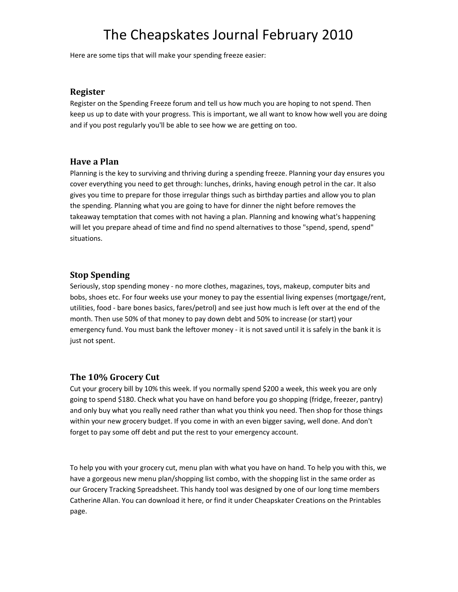Here are some tips that will make your spending freeze easier:

#### **Register**

Register on the Spending Freeze forum and tell us how much you are hoping to not spend. Then keep us up to date with your progress. This is important, we all want to know how well you are doing and if you post regularly you'll be able to see how we are getting on too.

### **Have a Plan**

Planning is the key to surviving and thriving during a spending freeze. Planning your day ensures you cover everything you need to get through: lunches, drinks, having enough petrol in the car. It also gives you time to prepare for those irregular things such as birthday parties and allow you to plan the spending. Planning what you are going to have for dinner the night before removes the takeaway temptation that comes with not having a plan. Planning and knowing what's happening will let you prepare ahead of time and find no spend alternatives to those "spend, spend, spend" situations.

### **Stop Spending**

Seriously, stop spending money - no more clothes, magazines, toys, makeup, computer bits and bobs, shoes etc. For four weeks use your money to pay the essential living expenses (mortgage/rent, utilities, food - bare bones basics, fares/petrol) and see just how much is left over at the end of the month. Then use 50% of that money to pay down debt and 50% to increase (or start) your emergency fund. You must bank the leftover money - it is not saved until it is safely in the bank it is just not spent.

### **The 10% Grocery Cut**

Cut your grocery bill by 10% this week. If you normally spend \$200 a week, this week you are only going to spend \$180. Check what you have on hand before you go shopping (fridge, freezer, pantry) and only buy what you really need rather than what you think you need. Then shop for those things within your new grocery budget. If you come in with an even bigger saving, well done. And don't forget to pay some off debt and put the rest to your emergency account.

To help you with your grocery cut, menu plan with what you have on hand. To help you with this, we have a gorgeous new menu plan/shopping list combo, with the shopping list in the same order as our Grocery Tracking Spreadsheet. This handy tool was designed by one of our long time members Catherine Allan. You can download it here, or find it under Cheapskater Creations on the Printables page.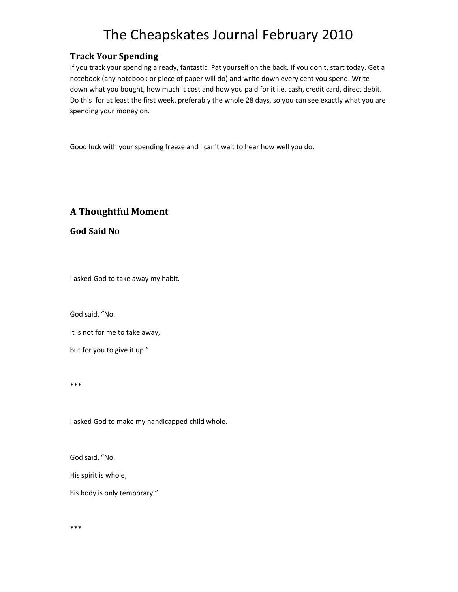### **Track Your Spending**

If you track your spending already, fantastic. Pat yourself on the back. If you don't, start today. Get a notebook (any notebook or piece of paper will do) and write down every cent you spend. Write down what you bought, how much it cost and how you paid for it i.e. cash, credit card, direct debit. Do this for at least the first week, preferably the whole 28 days, so you can see exactly what you are spending your money on.

Good luck with your spending freeze and I can't wait to hear how well you do.

### **A Thoughtful Moment**

**God Said No** 

I asked God to take away my habit.

God said, "No.

It is not for me to take away,

but for you to give it up."

\*\*\*

I asked God to make my handicapped child whole.

God said, "No.

His spirit is whole,

his body is only temporary."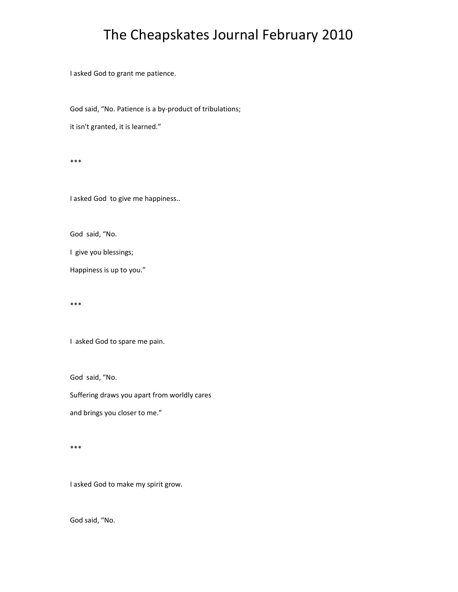I asked God to grant me patience.

God said, "No. Patience is a by-product of tribulations;

it isn't granted, it is learned."

\*\*\*

I asked God to give me happiness..

God said, "No.

I give you blessings;

Happiness is up to you."

\*\*\*

I asked God to spare me pain.

God said, "No.

Suffering draws you apart from worldly cares

and brings you closer to me."

\*\*\*

I asked God to make my spirit grow.

God said, "No.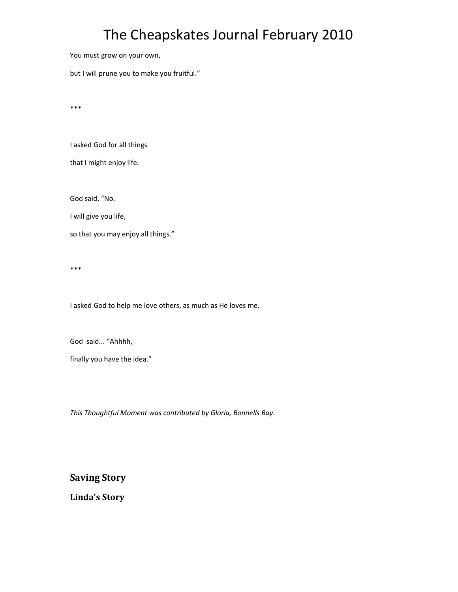You must grow on your own,

but I will prune you to make you fruitful."

\*\*\*

I asked God for all things

that I might enjoy life.

God said, "No.

I will give you life,

so that you may enjoy all things."

\*\*\*

I asked God to help me love others, as much as He loves me.

God said... "Ahhhh,

finally you have the idea."

*This Thoughtful Moment was contributed by Gloria, Bonnells Bay*.

**Saving Story** 

**Linda's Story**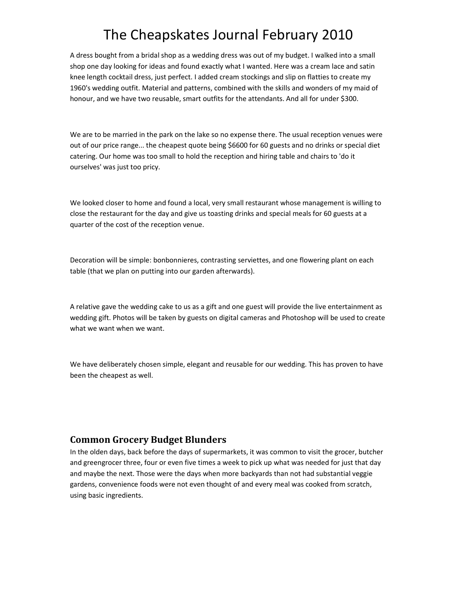A dress bought from a bridal shop as a wedding dress was out of my budget. I walked into a small shop one day looking for ideas and found exactly what I wanted. Here was a cream lace and satin knee length cocktail dress, just perfect. I added cream stockings and slip on flatties to create my 1960's wedding outfit. Material and patterns, combined with the skills and wonders of my maid of honour, and we have two reusable, smart outfits for the attendants. And all for under \$300.

We are to be married in the park on the lake so no expense there. The usual reception venues were out of our price range... the cheapest quote being \$6600 for 60 guests and no drinks or special diet catering. Our home was too small to hold the reception and hiring table and chairs to 'do it ourselves' was just too pricy.

We looked closer to home and found a local, very small restaurant whose management is willing to close the restaurant for the day and give us toasting drinks and special meals for 60 guests at a quarter of the cost of the reception venue.

Decoration will be simple: bonbonnieres, contrasting serviettes, and one flowering plant on each table (that we plan on putting into our garden afterwards).

A relative gave the wedding cake to us as a gift and one guest will provide the live entertainment as wedding gift. Photos will be taken by guests on digital cameras and Photoshop will be used to create what we want when we want.

We have deliberately chosen simple, elegant and reusable for our wedding. This has proven to have been the cheapest as well.

### **Common Grocery Budget Blunders**

In the olden days, back before the days of supermarkets, it was common to visit the grocer, butcher and greengrocer three, four or even five times a week to pick up what was needed for just that day and maybe the next. Those were the days when more backyards than not had substantial veggie gardens, convenience foods were not even thought of and every meal was cooked from scratch, using basic ingredients.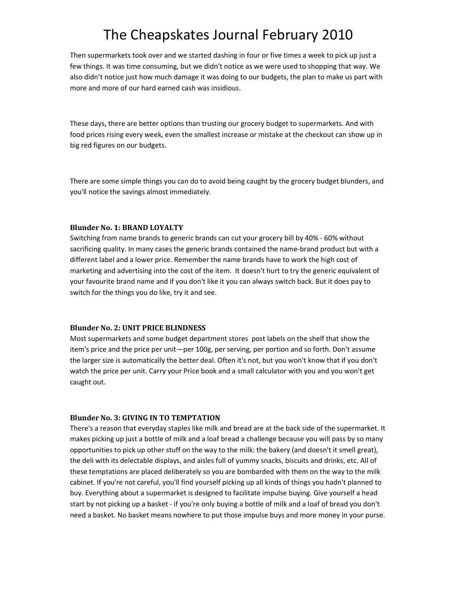Then supermarkets took over and we started dashing in four or five times a week to pick up just a few things. It was time consuming, but we didn't notice as we were used to shopping that way. We also didn't notice just how much damage it was doing to our budgets, the plan to make us part with more and more of our hard earned cash was insidious.

These days, there are better options than trusting our grocery budget to supermarkets. And with food prices rising every week, even the smallest increase or mistake at the checkout can show up in big red figures on our budgets.

There are some simple things you can do to avoid being caught by the grocery budget blunders, and you'll notice the savings almost immediately.

#### **Blunder No. 1: BRAND LOYALTY**

Switching from name brands to generic brands can cut your grocery bill by 40% - 60% without sacrificing quality. In many cases the generic brands contained the name-brand product but with a different label and a lower price. Remember the name brands have to work the high cost of marketing and advertising into the cost of the item. It doesn't hurt to try the generic equivalent of your favourite brand name and if you don't like it you can always switch back. But it does pay to switch for the things you do like, try it and see.

#### **Blunder No. 2: UNIT PRICE BLINDNESS**

Most supermarkets and some budget department stores post labels on the shelf that show the item's price and the price per unit—per 100g, per serving, per portion and so forth. Don't assume the larger size is automatically the better deal. Often it's not, but you won't know that if you don't watch the price per unit. Carry your Price book and a small calculator with you and you won't get caught out.

#### **Blunder No. 3: GIVING IN TO TEMPTATION**

There's a reason that everyday staples like milk and bread are at the back side of the supermarket. It makes picking up just a bottle of milk and a loaf bread a challenge because you will pass by so many opportunities to pick up other stuff on the way to the milk: the bakery (and doesn't it smell great), the deli with its delectable displays, and aisles full of yummy snacks, biscuits and drinks, etc. All of these temptations are placed deliberately so you are bombarded with them on the way to the milk cabinet. If you're not careful, you'll find yourself picking up all kinds of things you hadn't planned to buy. Everything about a supermarket is designed to facilitate impulse buying. Give yourself a head start by not picking up a basket - if you're only buying a bottle of milk and a loaf of bread you don't need a basket. No basket means nowhere to put those impulse buys and more money in your purse.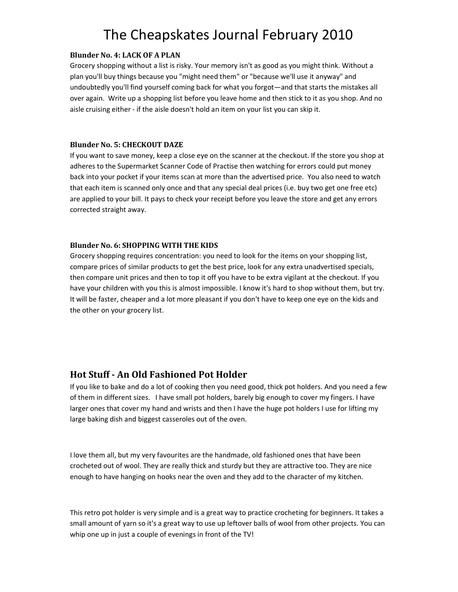#### **Blunder No. 4: LACK OF A PLAN**

Grocery shopping without a list is risky. Your memory isn't as good as you might think. Without a plan you'll buy things because you "might need them" or "because we'll use it anyway" and undoubtedly you'll find yourself coming back for what you forgot—and that starts the mistakes all over again. Write up a shopping list before you leave home and then stick to it as you shop. And no aisle cruising either - if the aisle doesn't hold an item on your list you can skip it.

#### **Blunder No. 5: CHECKOUT DAZE**

If you want to save money, keep a close eye on the scanner at the checkout. If the store you shop at adheres to the Supermarket Scanner Code of Practise then watching for errors could put money back into your pocket if your items scan at more than the advertised price. You also need to watch that each item is scanned only once and that any special deal prices (i.e. buy two get one free etc) are applied to your bill. It pays to check your receipt before you leave the store and get any errors corrected straight away.

#### **Blunder No. 6: SHOPPING WITH THE KIDS**

Grocery shopping requires concentration: you need to look for the items on your shopping list, compare prices of similar products to get the best price, look for any extra unadvertised specials, then compare unit prices and then to top it off you have to be extra vigilant at the checkout. If you have your children with you this is almost impossible. I know it's hard to shop without them, but try. It will be faster, cheaper and a lot more pleasant if you don't have to keep one eye on the kids and the other on your grocery list.

### **Hot Stuff - An Old Fashioned Pot Holder**

If you like to bake and do a lot of cooking then you need good, thick pot holders. And you need a few of them in different sizes. I have small pot holders, barely big enough to cover my fingers. I have larger ones that cover my hand and wrists and then I have the huge pot holders I use for lifting my large baking dish and biggest casseroles out of the oven.

I love them all, but my very favourites are the handmade, old fashioned ones that have been crocheted out of wool. They are really thick and sturdy but they are attractive too. They are nice enough to have hanging on hooks near the oven and they add to the character of my kitchen.

This retro pot holder is very simple and is a great way to practice crocheting for beginners. It takes a small amount of yarn so it's a great way to use up leftover balls of wool from other projects. You can whip one up in just a couple of evenings in front of the TV!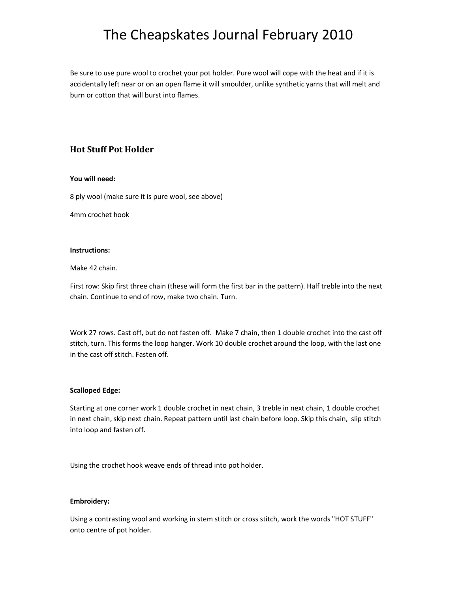Be sure to use pure wool to crochet your pot holder. Pure wool will cope with the heat and if it is accidentally left near or on an open flame it will smoulder, unlike synthetic yarns that will melt and burn or cotton that will burst into flames.

### **Hot Stuff Pot Holder**

#### **You will need:**

8 ply wool (make sure it is pure wool, see above)

4mm crochet hook

#### **Instructions:**

Make 42 chain.

First row: Skip first three chain (these will form the first bar in the pattern). Half treble into the next chain. Continue to end of row, make two chain. Turn.

Work 27 rows. Cast off, but do not fasten off. Make 7 chain, then 1 double crochet into the cast off stitch, turn. This forms the loop hanger. Work 10 double crochet around the loop, with the last one in the cast off stitch. Fasten off.

#### **Scalloped Edge:**

Starting at one corner work 1 double crochet in next chain, 3 treble in next chain, 1 double crochet in next chain, skip next chain. Repeat pattern until last chain before loop. Skip this chain, slip stitch into loop and fasten off.

Using the crochet hook weave ends of thread into pot holder.

#### **Embroidery:**

Using a contrasting wool and working in stem stitch or cross stitch, work the words "HOT STUFF" onto centre of pot holder.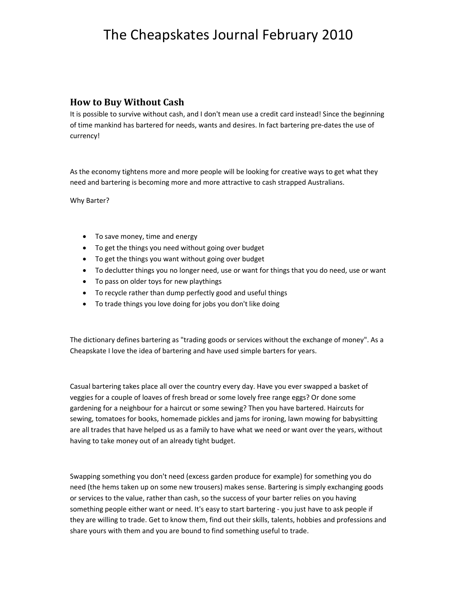### **How to Buy Without Cash**

It is possible to survive without cash, and I don't mean use a credit card instead! Since the beginning of time mankind has bartered for needs, wants and desires. In fact bartering pre-dates the use of currency!

As the economy tightens more and more people will be looking for creative ways to get what they need and bartering is becoming more and more attractive to cash strapped Australians.

Why Barter?

- To save money, time and energy
- To get the things you need without going over budget
- To get the things you want without going over budget
- To declutter things you no longer need, use or want for things that you do need, use or want
- To pass on older toys for new playthings
- To recycle rather than dump perfectly good and useful things
- To trade things you love doing for jobs you don't like doing

The dictionary defines bartering as "trading goods or services without the exchange of money". As a Cheapskate I love the idea of bartering and have used simple barters for years.

Casual bartering takes place all over the country every day. Have you ever swapped a basket of veggies for a couple of loaves of fresh bread or some lovely free range eggs? Or done some gardening for a neighbour for a haircut or some sewing? Then you have bartered. Haircuts for sewing, tomatoes for books, homemade pickles and jams for ironing, lawn mowing for babysitting are all trades that have helped us as a family to have what we need or want over the years, without having to take money out of an already tight budget.

Swapping something you don't need (excess garden produce for example) for something you do need (the hems taken up on some new trousers) makes sense. Bartering is simply exchanging goods or services to the value, rather than cash, so the success of your barter relies on you having something people either want or need. It's easy to start bartering - you just have to ask people if they are willing to trade. Get to know them, find out their skills, talents, hobbies and professions and share yours with them and you are bound to find something useful to trade.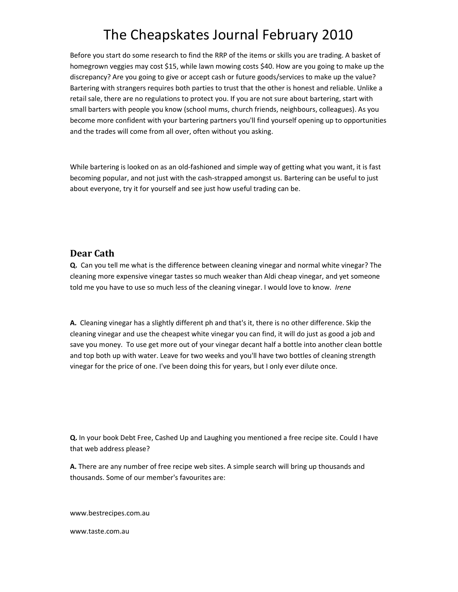Before you start do some research to find the RRP of the items or skills you are trading. A basket of homegrown veggies may cost \$15, while lawn mowing costs \$40. How are you going to make up the discrepancy? Are you going to give or accept cash or future goods/services to make up the value? Bartering with strangers requires both parties to trust that the other is honest and reliable. Unlike a retail sale, there are no regulations to protect you. If you are not sure about bartering, start with small barters with people you know (school mums, church friends, neighbours, colleagues). As you become more confident with your bartering partners you'll find yourself opening up to opportunities and the trades will come from all over, often without you asking.

While bartering is looked on as an old-fashioned and simple way of getting what you want, it is fast becoming popular, and not just with the cash-strapped amongst us. Bartering can be useful to just about everyone, try it for yourself and see just how useful trading can be.

### **Dear Cath**

**Q.** Can you tell me what is the difference between cleaning vinegar and normal white vinegar? The cleaning more expensive vinegar tastes so much weaker than Aldi cheap vinegar, and yet someone told me you have to use so much less of the cleaning vinegar. I would love to know. *Irene* 

**A.** Cleaning vinegar has a slightly different ph and that's it, there is no other difference. Skip the cleaning vinegar and use the cheapest white vinegar you can find, it will do just as good a job and save you money. To use get more out of your vinegar decant half a bottle into another clean bottle and top both up with water. Leave for two weeks and you'll have two bottles of cleaning strength vinegar for the price of one. I've been doing this for years, but I only ever dilute once.

**Q.** In your book Debt Free, Cashed Up and Laughing you mentioned a free recipe site. Could I have that web address please?

**A.** There are any number of free recipe web sites. A simple search will bring up thousands and thousands. Some of our member's favourites are:

www.bestrecipes.com.au

www.taste.com.au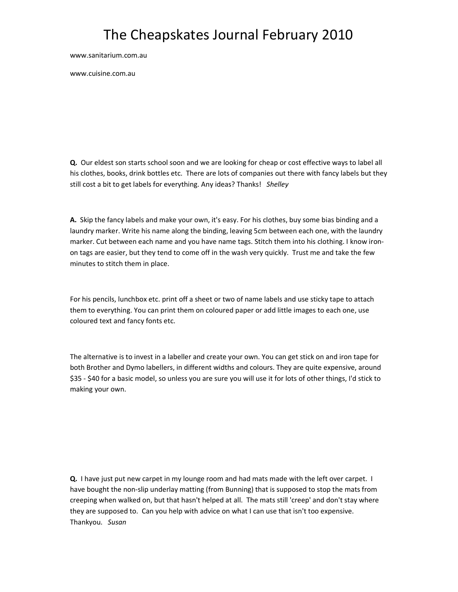www.sanitarium.com.au

www.cuisine.com.au

**Q.** Our eldest son starts school soon and we are looking for cheap or cost effective ways to label all his clothes, books, drink bottles etc. There are lots of companies out there with fancy labels but they still cost a bit to get labels for everything. Any ideas? Thanks! *Shelley* 

**A.** Skip the fancy labels and make your own, it's easy. For his clothes, buy some bias binding and a laundry marker. Write his name along the binding, leaving 5cm between each one, with the laundry marker. Cut between each name and you have name tags. Stitch them into his clothing. I know ironon tags are easier, but they tend to come off in the wash very quickly. Trust me and take the few minutes to stitch them in place.

For his pencils, lunchbox etc. print off a sheet or two of name labels and use sticky tape to attach them to everything. You can print them on coloured paper or add little images to each one, use coloured text and fancy fonts etc.

The alternative is to invest in a labeller and create your own. You can get stick on and iron tape for both Brother and Dymo labellers, in different widths and colours. They are quite expensive, around \$35 - \$40 for a basic model, so unless you are sure you will use it for lots of other things, I'd stick to making your own.

**Q.** I have just put new carpet in my lounge room and had mats made with the left over carpet. I have bought the non-slip underlay matting (from Bunning) that is supposed to stop the mats from creeping when walked on, but that hasn't helped at all. The mats still 'creep' and don't stay where they are supposed to. Can you help with advice on what I can use that isn't too expensive. Thankyou. *Susan*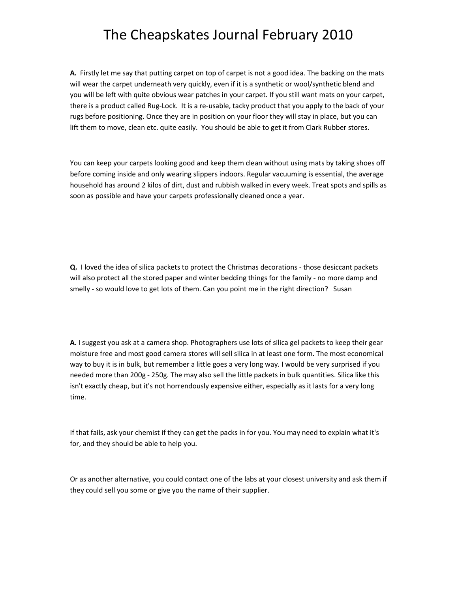**A.** Firstly let me say that putting carpet on top of carpet is not a good idea. The backing on the mats will wear the carpet underneath very quickly, even if it is a synthetic or wool/synthetic blend and you will be left with quite obvious wear patches in your carpet. If you still want mats on your carpet, there is a product called Rug-Lock. It is a re-usable, tacky product that you apply to the back of your rugs before positioning. Once they are in position on your floor they will stay in place, but you can lift them to move, clean etc. quite easily. You should be able to get it from Clark Rubber stores.

You can keep your carpets looking good and keep them clean without using mats by taking shoes off before coming inside and only wearing slippers indoors. Regular vacuuming is essential, the average household has around 2 kilos of dirt, dust and rubbish walked in every week. Treat spots and spills as soon as possible and have your carpets professionally cleaned once a year.

**Q.** I loved the idea of silica packets to protect the Christmas decorations - those desiccant packets will also protect all the stored paper and winter bedding things for the family - no more damp and smelly - so would love to get lots of them. Can you point me in the right direction? Susan

**A.** I suggest you ask at a camera shop. Photographers use lots of silica gel packets to keep their gear moisture free and most good camera stores will sell silica in at least one form. The most economical way to buy it is in bulk, but remember a little goes a very long way. I would be very surprised if you needed more than 200g - 250g. The may also sell the little packets in bulk quantities. Silica like this isn't exactly cheap, but it's not horrendously expensive either, especially as it lasts for a very long time.

If that fails, ask your chemist if they can get the packs in for you. You may need to explain what it's for, and they should be able to help you.

Or as another alternative, you could contact one of the labs at your closest university and ask them if they could sell you some or give you the name of their supplier.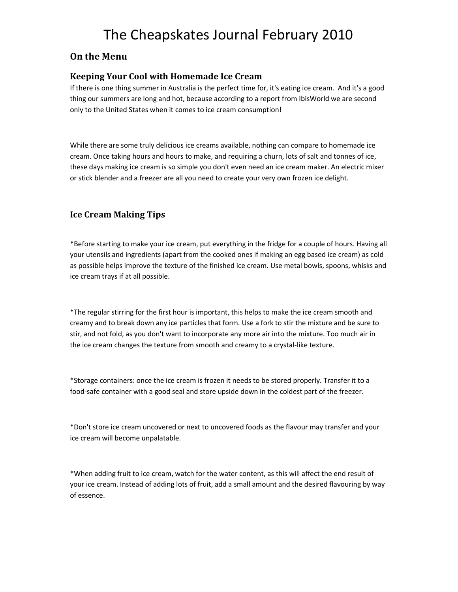### **On the Menu**

### **Keeping Your Cool with Homemade Ice Cream**

If there is one thing summer in Australia is the perfect time for, it's eating ice cream. And it's a good thing our summers are long and hot, because according to a report from IbisWorld we are second only to the United States when it comes to ice cream consumption!

While there are some truly delicious ice creams available, nothing can compare to homemade ice cream. Once taking hours and hours to make, and requiring a churn, lots of salt and tonnes of ice, these days making ice cream is so simple you don't even need an ice cream maker. An electric mixer or stick blender and a freezer are all you need to create your very own frozen ice delight.

### **Ice Cream Making Tips**

\*Before starting to make your ice cream, put everything in the fridge for a couple of hours. Having all your utensils and ingredients (apart from the cooked ones if making an egg based ice cream) as cold as possible helps improve the texture of the finished ice cream. Use metal bowls, spoons, whisks and ice cream trays if at all possible.

\*The regular stirring for the first hour is important, this helps to make the ice cream smooth and creamy and to break down any ice particles that form. Use a fork to stir the mixture and be sure to stir, and not fold, as you don't want to incorporate any more air into the mixture. Too much air in the ice cream changes the texture from smooth and creamy to a crystal-like texture.

\*Storage containers: once the ice cream is frozen it needs to be stored properly. Transfer it to a food-safe container with a good seal and store upside down in the coldest part of the freezer.

\*Don't store ice cream uncovered or next to uncovered foods as the flavour may transfer and your ice cream will become unpalatable.

\*When adding fruit to ice cream, watch for the water content, as this will affect the end result of your ice cream. Instead of adding lots of fruit, add a small amount and the desired flavouring by way of essence.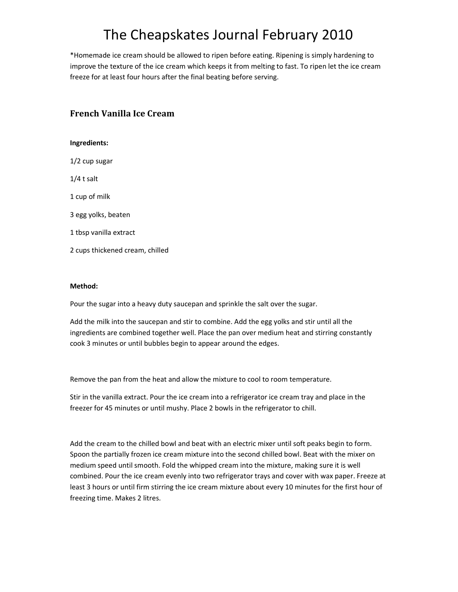\*Homemade ice cream should be allowed to ripen before eating. Ripening is simply hardening to improve the texture of the ice cream which keeps it from melting to fast. To ripen let the ice cream freeze for at least four hours after the final beating before serving.

### **French Vanilla Ice Cream**

#### **Ingredients:**

1/2 cup sugar

1/4 t salt

1 cup of milk

3 egg yolks, beaten

1 tbsp vanilla extract

2 cups thickened cream, chilled

#### **Method:**

Pour the sugar into a heavy duty saucepan and sprinkle the salt over the sugar.

Add the milk into the saucepan and stir to combine. Add the egg yolks and stir until all the ingredients are combined together well. Place the pan over medium heat and stirring constantly cook 3 minutes or until bubbles begin to appear around the edges.

Remove the pan from the heat and allow the mixture to cool to room temperature.

Stir in the vanilla extract. Pour the ice cream into a refrigerator ice cream tray and place in the freezer for 45 minutes or until mushy. Place 2 bowls in the refrigerator to chill.

Add the cream to the chilled bowl and beat with an electric mixer until soft peaks begin to form. Spoon the partially frozen ice cream mixture into the second chilled bowl. Beat with the mixer on medium speed until smooth. Fold the whipped cream into the mixture, making sure it is well combined. Pour the ice cream evenly into two refrigerator trays and cover with wax paper. Freeze at least 3 hours or until firm stirring the ice cream mixture about every 10 minutes for the first hour of freezing time. Makes 2 litres.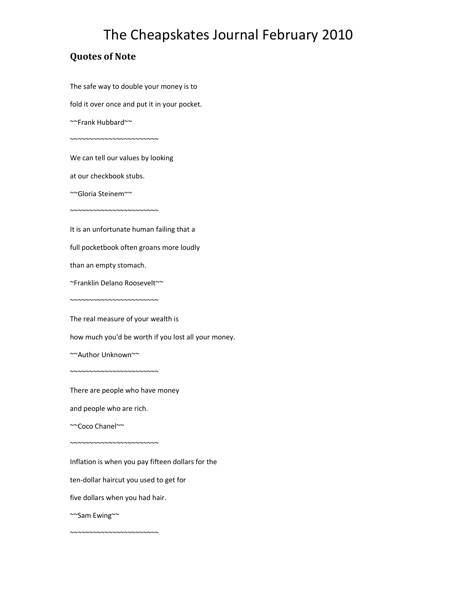### **Quotes of Note**

The safe way to double your money is to

fold it over once and put it in your pocket.

~~Frank Hubbard~~

We can tell our values by looking

~~~~~~~~~~~~~~~~~~~~~~~

at our checkbook stubs.

~~~~~~~~~~~~~~~~~~~~~~~

~~Gloria Steinem~~

It is an unfortunate human failing that a

full pocketbook often groans more loudly

than an empty stomach.

~Franklin Delano Roosevelt~~

~~~~~~~~~~~~~~~~~~~~~~

The real measure of your wealth is

how much you'd be worth if you lost all your money.

~~Author Unknown~~

There are people who have money

and people who are rich.

~~~~~~~~~~~~~~~~~~~~~~~

~~~~~~~~~~~~~~~~~~~~~~~

~~Coco Chanel~~

Inflation is when you pay fifteen dollars for the

ten-dollar haircut you used to get for

five dollars when you had hair.

~~~~~~~~~~~~~~~~~~~~~~~

~~Sam Ewing~~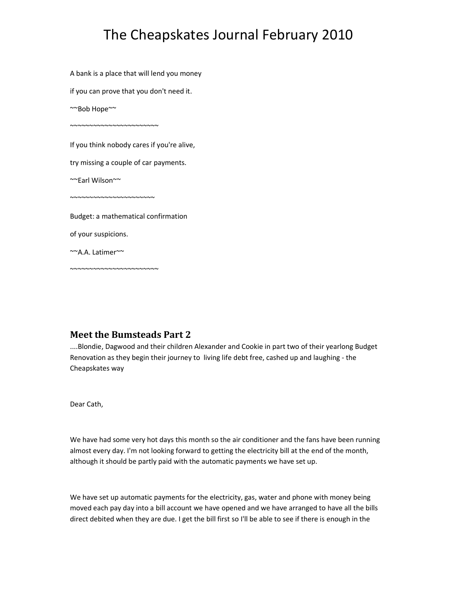A bank is a place that will lend you money

if you can prove that you don't need it.

~~Bob Hope~~

If you think nobody cares if you're alive,

try missing a couple of car payments.

~~Earl Wilson~~

~~~~~~~~~~~~~~~~~~~~~

~~~~~~~~~~~~~~~~~~~~~~

~~~~~~~~~~~~~~~~~~~~~~~

Budget: a mathematical confirmation

of your suspicions.

~~A.A. Latimer~~

### **Meet the Bumsteads Part 2**

....Blondie, Dagwood and their children Alexander and Cookie in part two of their yearlong Budget Renovation as they begin their journey to living life debt free, cashed up and laughing - the Cheapskates way

Dear Cath,

We have had some very hot days this month so the air conditioner and the fans have been running almost every day. I'm not looking forward to getting the electricity bill at the end of the month, although it should be partly paid with the automatic payments we have set up.

We have set up automatic payments for the electricity, gas, water and phone with money being moved each pay day into a bill account we have opened and we have arranged to have all the bills direct debited when they are due. I get the bill first so I'll be able to see if there is enough in the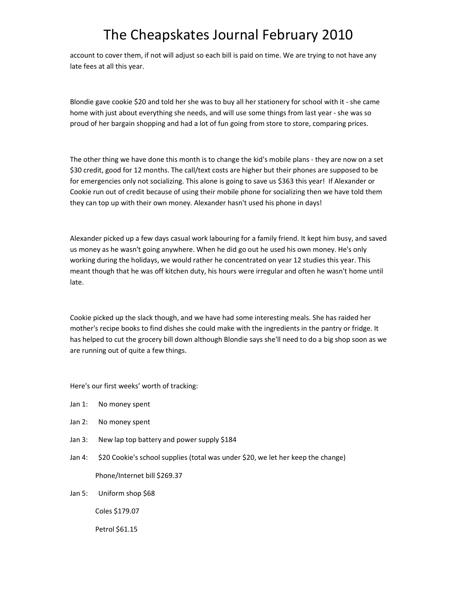account to cover them, if not will adjust so each bill is paid on time. We are trying to not have any late fees at all this year.

Blondie gave cookie \$20 and told her she was to buy all her stationery for school with it - she came home with just about everything she needs, and will use some things from last year - she was so proud of her bargain shopping and had a lot of fun going from store to store, comparing prices.

The other thing we have done this month is to change the kid's mobile plans - they are now on a set \$30 credit, good for 12 months. The call/text costs are higher but their phones are supposed to be for emergencies only not socializing. This alone is going to save us \$363 this year! If Alexander or Cookie run out of credit because of using their mobile phone for socializing then we have told them they can top up with their own money. Alexander hasn't used his phone in days!

Alexander picked up a few days casual work labouring for a family friend. It kept him busy, and saved us money as he wasn't going anywhere. When he did go out he used his own money. He's only working during the holidays, we would rather he concentrated on year 12 studies this year. This meant though that he was off kitchen duty, his hours were irregular and often he wasn't home until late.

Cookie picked up the slack though, and we have had some interesting meals. She has raided her mother's recipe books to find dishes she could make with the ingredients in the pantry or fridge. It has helped to cut the grocery bill down although Blondie says she'll need to do a big shop soon as we are running out of quite a few things.

Here's our first weeks' worth of tracking:

- Jan 1: No money spent
- Jan 2: No money spent
- Jan 3: New lap top battery and power supply \$184
- Jan 4: \$20 Cookie's school supplies (total was under \$20, we let her keep the change) Phone/Internet bill \$269.37
- Jan 5: Uniform shop \$68

Coles \$179.07

Petrol \$61.15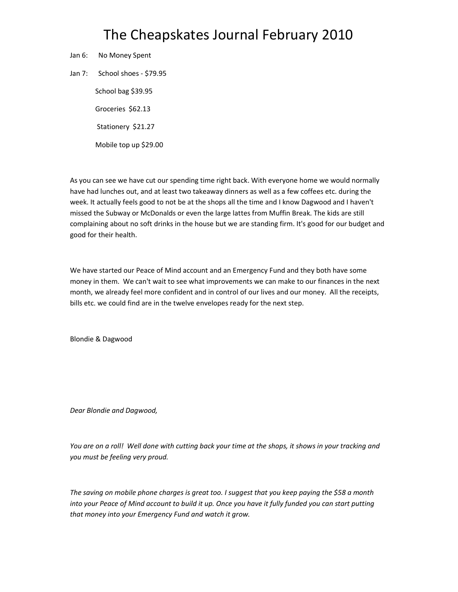- Jan 6: No Money Spent
- Jan 7: School shoes \$79.95

 School bag \$39.95 Groceries \$62.13 Stationery \$21.27 Mobile top up \$29.00

As you can see we have cut our spending time right back. With everyone home we would normally have had lunches out, and at least two takeaway dinners as well as a few coffees etc. during the week. It actually feels good to not be at the shops all the time and I know Dagwood and I haven't missed the Subway or McDonalds or even the large lattes from Muffin Break. The kids are still complaining about no soft drinks in the house but we are standing firm. It's good for our budget and good for their health.

We have started our Peace of Mind account and an Emergency Fund and they both have some money in them. We can't wait to see what improvements we can make to our finances in the next month, we already feel more confident and in control of our lives and our money. All the receipts, bills etc. we could find are in the twelve envelopes ready for the next step.

Blondie & Dagwood

*Dear Blondie and Dagwood,* 

*You are on a roll! Well done with cutting back your time at the shops, it shows in your tracking and you must be feeling very proud.* 

*The saving on mobile phone charges is great too. I suggest that you keep paying the \$58 a month into your Peace of Mind account to build it up. Once you have it fully funded you can start putting that money into your Emergency Fund and watch it grow.*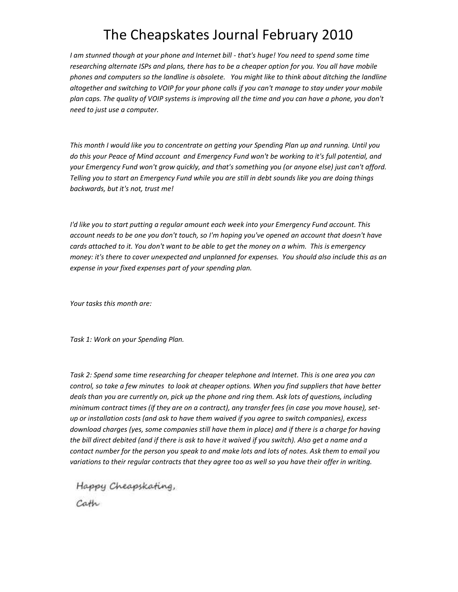*I am stunned though at your phone and Internet bill - that's huge! You need to spend some time researching alternate ISPs and plans, there has to be a cheaper option for you. You all have mobile phones and computers so the landline is obsolete. You might like to think about ditching the landline altogether and switching to VOIP for your phone calls if you can't manage to stay under your mobile plan caps. The quality of VOIP systems is improving all the time and you can have a phone, you don't need to just use a computer.* 

*This month I would like you to concentrate on getting your Spending Plan up and running. Until you do this your Peace of Mind account and Emergency Fund won't be working to it's full potential, and your Emergency Fund won't grow quickly, and that's something you (or anyone else) just can't afford. Telling you to start an Emergency Fund while you are still in debt sounds like you are doing things backwards, but it's not, trust me!* 

*I'd like you to start putting a regular amount each week into your Emergency Fund account. This account needs to be one you don't touch, so I'm hoping you've opened an account that doesn't have cards attached to it. You don't want to be able to get the money on a whim. This is emergency money: it's there to cover unexpected and unplanned for expenses. You should also include this as an expense in your fixed expenses part of your spending plan.* 

*Your tasks this month are:* 

*Task 1: Work on your Spending Plan.* 

*Task 2: Spend some time researching for cheaper telephone and Internet. This is one area you can control, so take a few minutes to look at cheaper options. When you find suppliers that have better deals than you are currently on, pick up the phone and ring them. Ask lots of questions, including minimum contract times (if they are on a contract), any transfer fees (in case you move house), setup or installation costs (and ask to have them waived if you agree to switch companies), excess download charges (yes, some companies still have them in place) and if there is a charge for having the bill direct debited (and if there is ask to have it waived if you switch). Also get a name and a contact number for the person you speak to and make lots and lots of notes. Ask them to email you variations to their regular contracts that they agree too as well so you have their offer in writing.* 

Happy Cheapskating,

Cath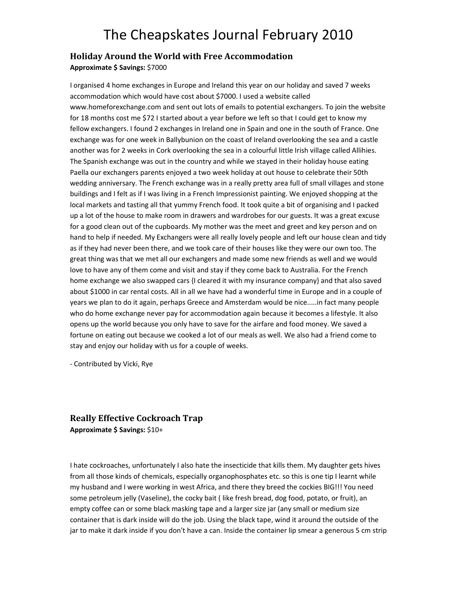#### **Holiday Around the World with Free Accommodation**

**Approximate \$ Savings:** \$7000

I organised 4 home exchanges in Europe and Ireland this year on our holiday and saved 7 weeks accommodation which would have cost about \$7000. I used a website called www.homeforexchange.com and sent out lots of emails to potential exchangers. To join the website for 18 months cost me \$72 I started about a year before we left so that I could get to know my fellow exchangers. I found 2 exchanges in Ireland one in Spain and one in the south of France. One exchange was for one week in Ballybunion on the coast of Ireland overlooking the sea and a castle another was for 2 weeks in Cork overlooking the sea in a colourful little Irish village called Allihies. The Spanish exchange was out in the country and while we stayed in their holiday house eating Paella our exchangers parents enjoyed a two week holiday at out house to celebrate their 50th wedding anniversary. The French exchange was in a really pretty area full of small villages and stone buildings and I felt as if I was living in a French Impressionist painting. We enjoyed shopping at the local markets and tasting all that yummy French food. It took quite a bit of organising and I packed up a lot of the house to make room in drawers and wardrobes for our guests. It was a great excuse for a good clean out of the cupboards. My mother was the meet and greet and key person and on hand to help if needed. My Exchangers were all really lovely people and left our house clean and tidy as if they had never been there, and we took care of their houses like they were our own too. The great thing was that we met all our exchangers and made some new friends as well and we would love to have any of them come and visit and stay if they come back to Australia. For the French home exchange we also swapped cars {I cleared it with my insurance company} and that also saved about \$1000 in car rental costs. All in all we have had a wonderful time in Europe and in a couple of years we plan to do it again, perhaps Greece and Amsterdam would be nice.....in fact many people who do home exchange never pay for accommodation again because it becomes a lifestyle. It also opens up the world because you only have to save for the airfare and food money. We saved a fortune on eating out because we cooked a lot of our meals as well. We also had a friend come to stay and enjoy our holiday with us for a couple of weeks.

- Contributed by Vicki, Rye

### **Really Effective Cockroach Trap**

**Approximate \$ Savings:** \$10+

I hate cockroaches, unfortunately I also hate the insecticide that kills them. My daughter gets hives from all those kinds of chemicals, especially organophosphates etc. so this is one tip I learnt while my husband and I were working in west Africa, and there they breed the cockies BIG!!! You need some petroleum jelly (Vaseline), the cocky bait ( like fresh bread, dog food, potato, or fruit), an empty coffee can or some black masking tape and a larger size jar (any small or medium size container that is dark inside will do the job. Using the black tape, wind it around the outside of the jar to make it dark inside if you don't have a can. Inside the container lip smear a generous 5 cm strip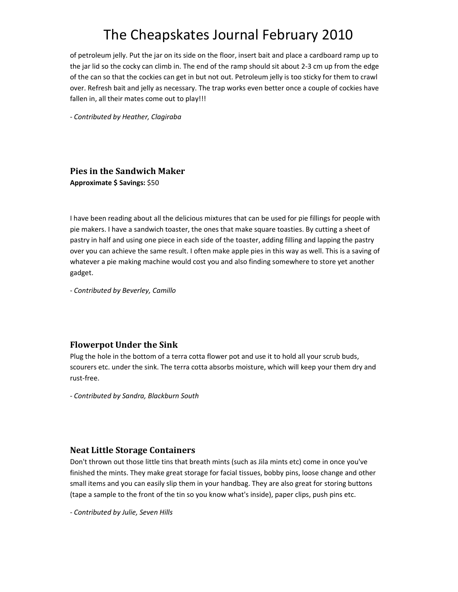of petroleum jelly. Put the jar on its side on the floor, insert bait and place a cardboard ramp up to the jar lid so the cocky can climb in. The end of the ramp should sit about 2-3 cm up from the edge of the can so that the cockies can get in but not out. Petroleum jelly is too sticky for them to crawl over. Refresh bait and jelly as necessary. The trap works even better once a couple of cockies have fallen in, all their mates come out to play!!!

- *Contributed by Heather, Clagiraba*

### **Pies in the Sandwich Maker**

**Approximate \$ Savings:** \$50

I have been reading about all the delicious mixtures that can be used for pie fillings for people with pie makers. I have a sandwich toaster, the ones that make square toasties. By cutting a sheet of pastry in half and using one piece in each side of the toaster, adding filling and lapping the pastry over you can achieve the same result. I often make apple pies in this way as well. This is a saving of whatever a pie making machine would cost you and also finding somewhere to store yet another gadget.

- *Contributed by Beverley, Camillo*

### **Flowerpot Under the Sink**

Plug the hole in the bottom of a terra cotta flower pot and use it to hold all your scrub buds, scourers etc. under the sink. The terra cotta absorbs moisture, which will keep your them dry and rust-free.

- *Contributed by Sandra, Blackburn South*

### **Neat Little Storage Containers**

Don't thrown out those little tins that breath mints (such as Jila mints etc) come in once you've finished the mints. They make great storage for facial tissues, bobby pins, loose change and other small items and you can easily slip them in your handbag. They are also great for storing buttons (tape a sample to the front of the tin so you know what's inside), paper clips, push pins etc.

- *Contributed by Julie, Seven Hills*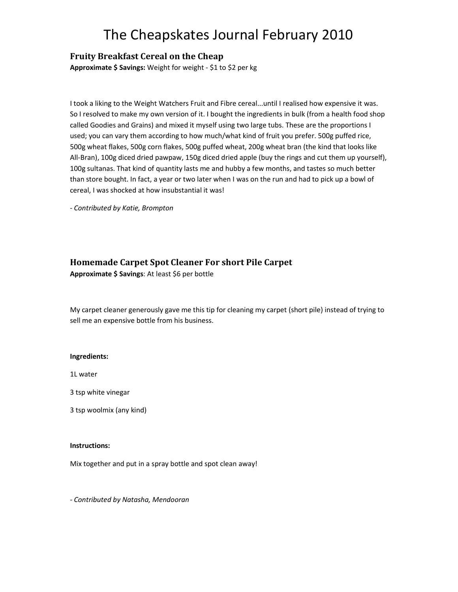### **Fruity Breakfast Cereal on the Cheap**

**Approximate \$ Savings:** Weight for weight - \$1 to \$2 per kg

I took a liking to the Weight Watchers Fruit and Fibre cereal...until I realised how expensive it was. So I resolved to make my own version of it. I bought the ingredients in bulk (from a health food shop called Goodies and Grains) and mixed it myself using two large tubs. These are the proportions I used; you can vary them according to how much/what kind of fruit you prefer. 500g puffed rice, 500g wheat flakes, 500g corn flakes, 500g puffed wheat, 200g wheat bran (the kind that looks like All-Bran), 100g diced dried pawpaw, 150g diced dried apple (buy the rings and cut them up yourself), 100g sultanas. That kind of quantity lasts me and hubby a few months, and tastes so much better than store bought. In fact, a year or two later when I was on the run and had to pick up a bowl of cereal, I was shocked at how insubstantial it was!

- *Contributed by Katie, Brompton*

### **Homemade Carpet Spot Cleaner For short Pile Carpet**

**Approximate \$ Savings**: At least \$6 per bottle

My carpet cleaner generously gave me this tip for cleaning my carpet (short pile) instead of trying to sell me an expensive bottle from his business.

#### **Ingredients:**

1L water

3 tsp white vinegar

3 tsp woolmix (any kind)

#### **Instructions:**

Mix together and put in a spray bottle and spot clean away!

- *Contributed by Natasha, Mendooran*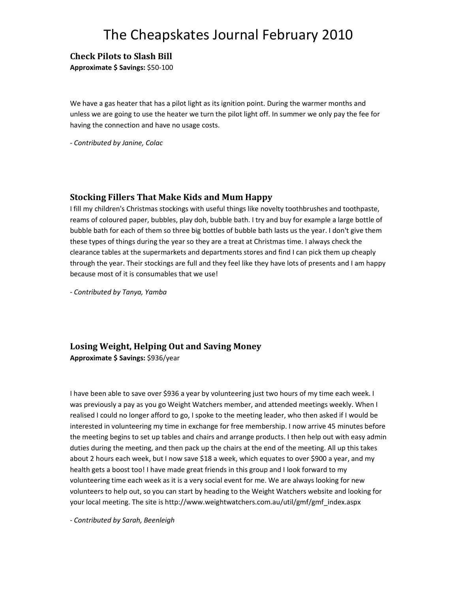### **Check Pilots to Slash Bill**

**Approximate \$ Savings:** \$50-100

We have a gas heater that has a pilot light as its ignition point. During the warmer months and unless we are going to use the heater we turn the pilot light off. In summer we only pay the fee for having the connection and have no usage costs.

- *Contributed by Janine, Colac*

#### **Stocking Fillers That Make Kids and Mum Happy**

I fill my children's Christmas stockings with useful things like novelty toothbrushes and toothpaste, reams of coloured paper, bubbles, play doh, bubble bath. I try and buy for example a large bottle of bubble bath for each of them so three big bottles of bubble bath lasts us the year. I don't give them these types of things during the year so they are a treat at Christmas time. I always check the clearance tables at the supermarkets and departments stores and find I can pick them up cheaply through the year. Their stockings are full and they feel like they have lots of presents and I am happy because most of it is consumables that we use!

- *Contributed by Tanya, Yamba*

### **Losing Weight, Helping Out and Saving Money**

**Approximate \$ Savings:** \$936/year

I have been able to save over \$936 a year by volunteering just two hours of my time each week. I was previously a pay as you go Weight Watchers member, and attended meetings weekly. When I realised I could no longer afford to go, I spoke to the meeting leader, who then asked if I would be interested in volunteering my time in exchange for free membership. I now arrive 45 minutes before the meeting begins to set up tables and chairs and arrange products. I then help out with easy admin duties during the meeting, and then pack up the chairs at the end of the meeting. All up this takes about 2 hours each week, but I now save \$18 a week, which equates to over \$900 a year, and my health gets a boost too! I have made great friends in this group and I look forward to my volunteering time each week as it is a very social event for me. We are always looking for new volunteers to help out, so you can start by heading to the Weight Watchers website and looking for your local meeting. The site is http://www.weightwatchers.com.au/util/gmf/gmf\_index.aspx

- *Contributed by Sarah, Beenleigh*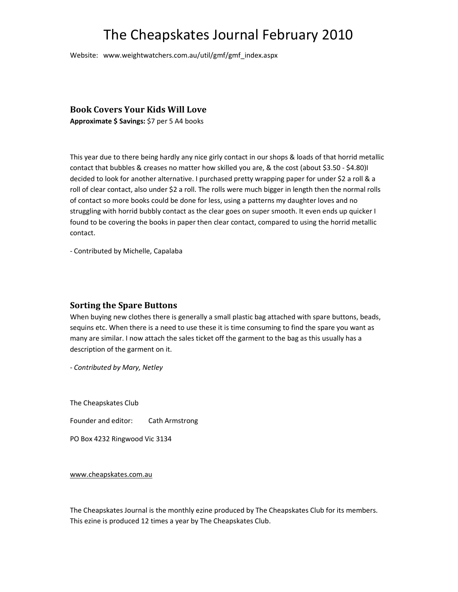Website: www.weightwatchers.com.au/util/gmf/gmf\_index.aspx

#### **Book Covers Your Kids Will Love**

**Approximate \$ Savings:** \$7 per 5 A4 books

This year due to there being hardly any nice girly contact in our shops & loads of that horrid metallic contact that bubbles & creases no matter how skilled you are, & the cost (about \$3.50 - \$4.80)I decided to look for another alternative. I purchased pretty wrapping paper for under \$2 a roll & a roll of clear contact, also under \$2 a roll. The rolls were much bigger in length then the normal rolls of contact so more books could be done for less, using a patterns my daughter loves and no struggling with horrid bubbly contact as the clear goes on super smooth. It even ends up quicker I found to be covering the books in paper then clear contact, compared to using the horrid metallic contact.

- Contributed by Michelle, Capalaba

#### **Sorting the Spare Buttons**

When buying new clothes there is generally a small plastic bag attached with spare buttons, beads, sequins etc. When there is a need to use these it is time consuming to find the spare you want as many are similar. I now attach the sales ticket off the garment to the bag as this usually has a description of the garment on it.

- *Contributed by Mary, Netley* 

The Cheapskates Club

Founder and editor: Cath Armstrong

PO Box 4232 Ringwood Vic 3134

www.cheapskates.com.au

The Cheapskates Journal is the monthly ezine produced by The Cheapskates Club for its members. This ezine is produced 12 times a year by The Cheapskates Club.